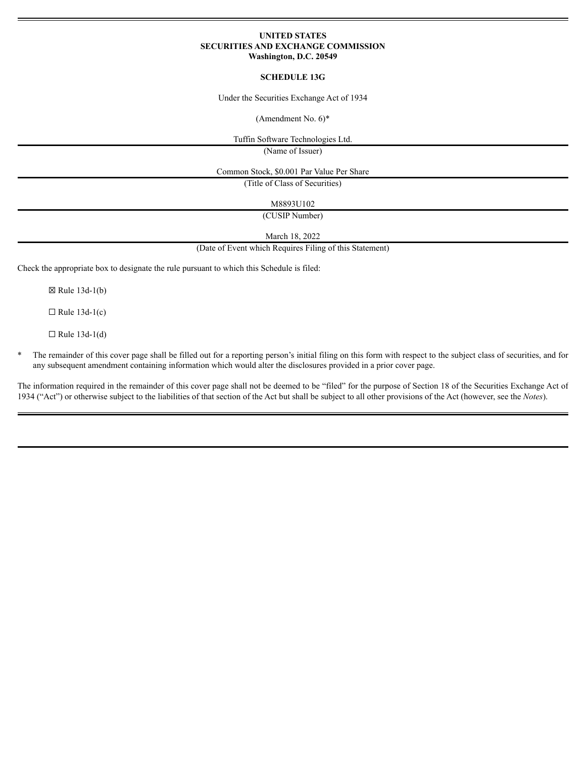## **UNITED STATES SECURITIES AND EXCHANGE COMMISSION Washington, D.C. 20549**

## **SCHEDULE 13G**

Under the Securities Exchange Act of 1934

(Amendment No. 6)\*

Tuffin Software Technologies Ltd.

(Name of Issuer)

Common Stock, \$0.001 Par Value Per Share

(Title of Class of Securities)

M8893U102

(CUSIP Number)

March 18, 2022

(Date of Event which Requires Filing of this Statement)

Check the appropriate box to designate the rule pursuant to which this Schedule is filed:

 $\boxtimes$  Rule 13d-1(b)

 $\Box$  Rule 13d-1(c)

 $\Box$  Rule 13d-1(d)

\* The remainder of this cover page shall be filled out for a reporting person's initial filing on this form with respect to the subject class of securities, and for any subsequent amendment containing information which would alter the disclosures provided in a prior cover page.

The information required in the remainder of this cover page shall not be deemed to be "filed" for the purpose of Section 18 of the Securities Exchange Act of 1934 ("Act") or otherwise subject to the liabilities of that section of the Act but shall be subject to all other provisions of the Act (however, see the *Notes*).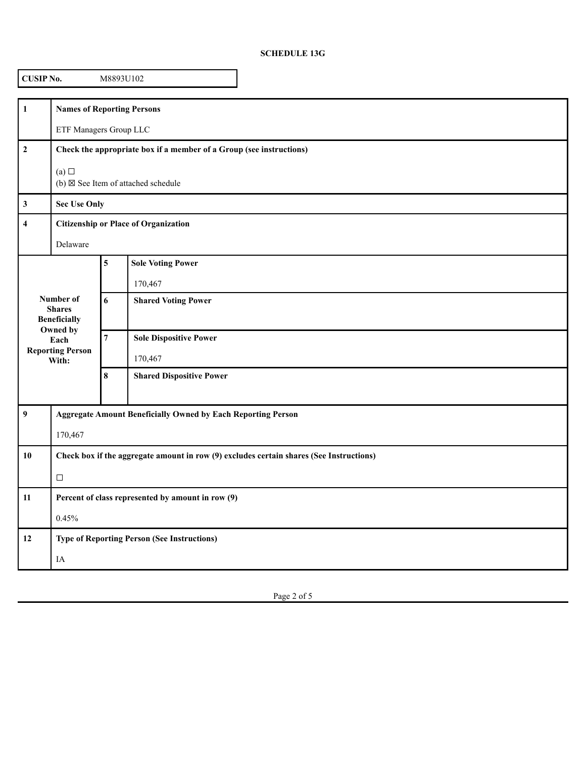## **SCHEDULE 13G**

| <b>CUSIP No.</b><br>M8893U102 |                                                                                         |                         |                                               |  |  |  |
|-------------------------------|-----------------------------------------------------------------------------------------|-------------------------|-----------------------------------------------|--|--|--|
| $\mathbf{1}$                  | <b>Names of Reporting Persons</b>                                                       |                         |                                               |  |  |  |
|                               | ETF Managers Group LLC                                                                  |                         |                                               |  |  |  |
| $\boldsymbol{2}$              | Check the appropriate box if a member of a Group (see instructions)                     |                         |                                               |  |  |  |
|                               | (a)                                                                                     |                         | (b) $\boxtimes$ See Item of attached schedule |  |  |  |
| $\mathbf{3}$                  | <b>Sec Use Only</b>                                                                     |                         |                                               |  |  |  |
| $\overline{\mathbf{4}}$       | <b>Citizenship or Place of Organization</b>                                             |                         |                                               |  |  |  |
|                               | Delaware                                                                                |                         |                                               |  |  |  |
| Number of<br><b>Shares</b>    |                                                                                         | $\overline{\mathbf{5}}$ | <b>Sole Voting Power</b>                      |  |  |  |
|                               |                                                                                         |                         | 170,467                                       |  |  |  |
|                               |                                                                                         | 6                       | <b>Shared Voting Power</b>                    |  |  |  |
|                               | <b>Beneficially</b><br>Owned by                                                         |                         |                                               |  |  |  |
|                               | Each<br><b>Reporting Person</b>                                                         | $\boldsymbol{7}$        | <b>Sole Dispositive Power</b>                 |  |  |  |
| With:                         |                                                                                         |                         | 170,467                                       |  |  |  |
|                               |                                                                                         | $\bf 8$                 | <b>Shared Dispositive Power</b>               |  |  |  |
| $\overline{9}$                | <b>Aggregate Amount Beneficially Owned by Each Reporting Person</b>                     |                         |                                               |  |  |  |
|                               | 170,467                                                                                 |                         |                                               |  |  |  |
| 10                            | Check box if the aggregate amount in row (9) excludes certain shares (See Instructions) |                         |                                               |  |  |  |
|                               | $\Box$                                                                                  |                         |                                               |  |  |  |
| 11                            | Percent of class represented by amount in row (9)                                       |                         |                                               |  |  |  |
|                               | 0.45%                                                                                   |                         |                                               |  |  |  |
| 12                            | <b>Type of Reporting Person (See Instructions)</b>                                      |                         |                                               |  |  |  |
|                               | IA                                                                                      |                         |                                               |  |  |  |

Page 2 of 5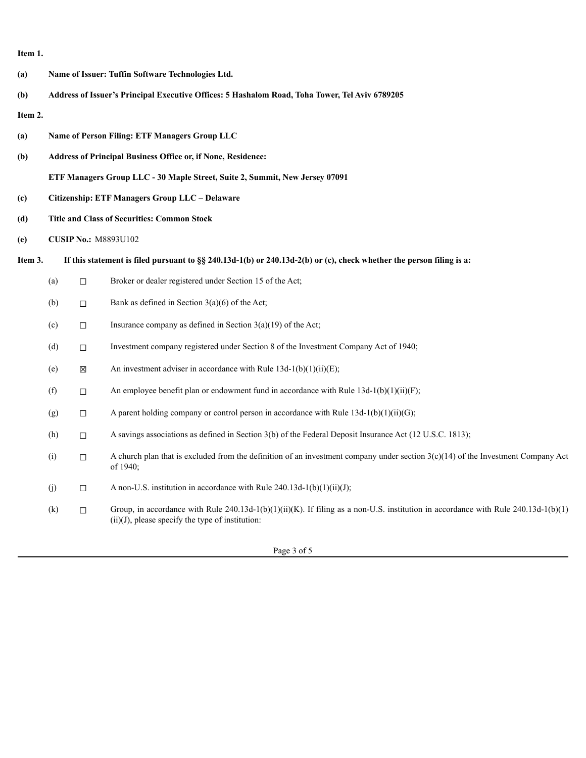**Item 1.**

| (a)     | Name of Issuer: Tuffin Software Technologies Ltd.                                                                      |                                                                             |                                                                                                                                                                                           |  |  |  |
|---------|------------------------------------------------------------------------------------------------------------------------|-----------------------------------------------------------------------------|-------------------------------------------------------------------------------------------------------------------------------------------------------------------------------------------|--|--|--|
| (b)     | Address of Issuer's Principal Executive Offices: 5 Hashalom Road, Toha Tower, Tel Aviv 6789205                         |                                                                             |                                                                                                                                                                                           |  |  |  |
| Item 2. |                                                                                                                        |                                                                             |                                                                                                                                                                                           |  |  |  |
| (a)     | Name of Person Filing: ETF Managers Group LLC                                                                          |                                                                             |                                                                                                                                                                                           |  |  |  |
| (b)     |                                                                                                                        | Address of Principal Business Office or, if None, Residence:                |                                                                                                                                                                                           |  |  |  |
|         |                                                                                                                        | ETF Managers Group LLC - 30 Maple Street, Suite 2, Summit, New Jersey 07091 |                                                                                                                                                                                           |  |  |  |
| (c)     | Citizenship: ETF Managers Group LLC - Delaware                                                                         |                                                                             |                                                                                                                                                                                           |  |  |  |
| (d)     | <b>Title and Class of Securities: Common Stock</b>                                                                     |                                                                             |                                                                                                                                                                                           |  |  |  |
| (e)     | <b>CUSIP No.: M8893U102</b>                                                                                            |                                                                             |                                                                                                                                                                                           |  |  |  |
| Item 3. | If this statement is filed pursuant to $\S$ 240.13d-1(b) or 240.13d-2(b) or (c), check whether the person filing is a: |                                                                             |                                                                                                                                                                                           |  |  |  |
|         | (a)                                                                                                                    | $\Box$                                                                      | Broker or dealer registered under Section 15 of the Act;                                                                                                                                  |  |  |  |
|         | (b)                                                                                                                    | $\Box$                                                                      | Bank as defined in Section $3(a)(6)$ of the Act;                                                                                                                                          |  |  |  |
|         | (c)                                                                                                                    | $\Box$                                                                      | Insurance company as defined in Section $3(a)(19)$ of the Act;                                                                                                                            |  |  |  |
|         | (d)                                                                                                                    | $\Box$                                                                      | Investment company registered under Section 8 of the Investment Company Act of 1940;                                                                                                      |  |  |  |
|         | (e)                                                                                                                    | 区                                                                           | An investment adviser in accordance with Rule $13d-1(b)(1)(ii)(E)$ ;                                                                                                                      |  |  |  |
|         | (f)                                                                                                                    | $\Box$                                                                      | An employee benefit plan or endowment fund in accordance with Rule $13d-1(b)(1)(ii)(F)$ ;                                                                                                 |  |  |  |
|         | (g)                                                                                                                    | $\Box$                                                                      | A parent holding company or control person in accordance with Rule $13d-1(b)(1)(ii)(G)$ ;                                                                                                 |  |  |  |
|         | (h)                                                                                                                    | $\Box$                                                                      | A savings associations as defined in Section 3(b) of the Federal Deposit Insurance Act (12 U.S.C. 1813);                                                                                  |  |  |  |
|         | (i)                                                                                                                    | $\Box$                                                                      | A church plan that is excluded from the definition of an investment company under section $3(c)(14)$ of the Investment Company Act<br>of 1940;                                            |  |  |  |
|         | (j)                                                                                                                    | $\Box$                                                                      | A non-U.S. institution in accordance with Rule $240.13d-1(b)(1)(ii)(J)$ ;                                                                                                                 |  |  |  |
|         | (k)                                                                                                                    | $\Box$                                                                      | Group, in accordance with Rule 240.13d-1(b)(1)(ii)(K). If filing as a non-U.S. institution in accordance with Rule 240.13d-1(b)(1)<br>$(ii)(J)$ , please specify the type of institution: |  |  |  |

Page 3 of 5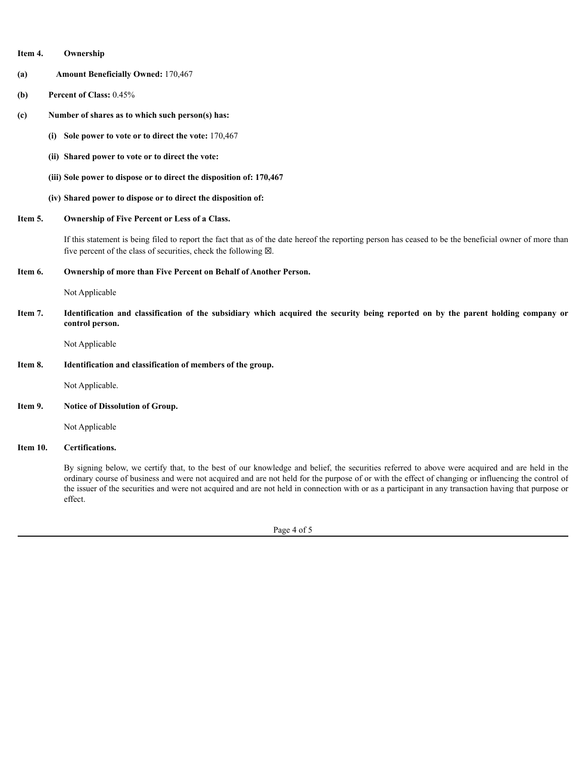| Item 4.<br>Ownership                                                                                                                                                                                                                                                                                                                                                                                                                                                    |  |  |  |
|-------------------------------------------------------------------------------------------------------------------------------------------------------------------------------------------------------------------------------------------------------------------------------------------------------------------------------------------------------------------------------------------------------------------------------------------------------------------------|--|--|--|
| <b>Amount Beneficially Owned: 170,467</b><br>(a)                                                                                                                                                                                                                                                                                                                                                                                                                        |  |  |  |
| Percent of Class: 0.45%<br>(b)                                                                                                                                                                                                                                                                                                                                                                                                                                          |  |  |  |
| Number of shares as to which such person(s) has:<br>(c)                                                                                                                                                                                                                                                                                                                                                                                                                 |  |  |  |
| Sole power to vote or to direct the vote: 170,467<br>(i)                                                                                                                                                                                                                                                                                                                                                                                                                |  |  |  |
| (ii) Shared power to vote or to direct the vote:                                                                                                                                                                                                                                                                                                                                                                                                                        |  |  |  |
| (iii) Sole power to dispose or to direct the disposition of: 170,467                                                                                                                                                                                                                                                                                                                                                                                                    |  |  |  |
| (iv) Shared power to dispose or to direct the disposition of:                                                                                                                                                                                                                                                                                                                                                                                                           |  |  |  |
| Item 5.<br><b>Ownership of Five Percent or Less of a Class.</b>                                                                                                                                                                                                                                                                                                                                                                                                         |  |  |  |
| If this statement is being filed to report the fact that as of the date hereof the reporting person has ceased to be the beneficial owner of more than<br>five percent of the class of securities, check the following $\boxtimes$ .                                                                                                                                                                                                                                    |  |  |  |
| Item 6.<br>Ownership of more than Five Percent on Behalf of Another Person.                                                                                                                                                                                                                                                                                                                                                                                             |  |  |  |
| Not Applicable                                                                                                                                                                                                                                                                                                                                                                                                                                                          |  |  |  |
| Item 7.<br>Identification and classification of the subsidiary which acquired the security being reported on by the parent holding company or<br>control person.                                                                                                                                                                                                                                                                                                        |  |  |  |
| Not Applicable                                                                                                                                                                                                                                                                                                                                                                                                                                                          |  |  |  |
| Item 8.<br>Identification and classification of members of the group.                                                                                                                                                                                                                                                                                                                                                                                                   |  |  |  |
| Not Applicable.                                                                                                                                                                                                                                                                                                                                                                                                                                                         |  |  |  |
| Item 9.<br><b>Notice of Dissolution of Group.</b>                                                                                                                                                                                                                                                                                                                                                                                                                       |  |  |  |
| Not Applicable                                                                                                                                                                                                                                                                                                                                                                                                                                                          |  |  |  |
| Item 10.<br>Certifications.                                                                                                                                                                                                                                                                                                                                                                                                                                             |  |  |  |
| By signing below, we certify that, to the best of our knowledge and belief, the securities referred to above were acquired and are held in the<br>ordinary course of business and were not acquired and are not held for the purpose of or with the effect of changing or influencing the control of<br>the issuer of the securities and were not acquired and are not held in connection with or as a participant in any transaction having that purpose or<br>effect. |  |  |  |
| Page 4 of 5                                                                                                                                                                                                                                                                                                                                                                                                                                                             |  |  |  |